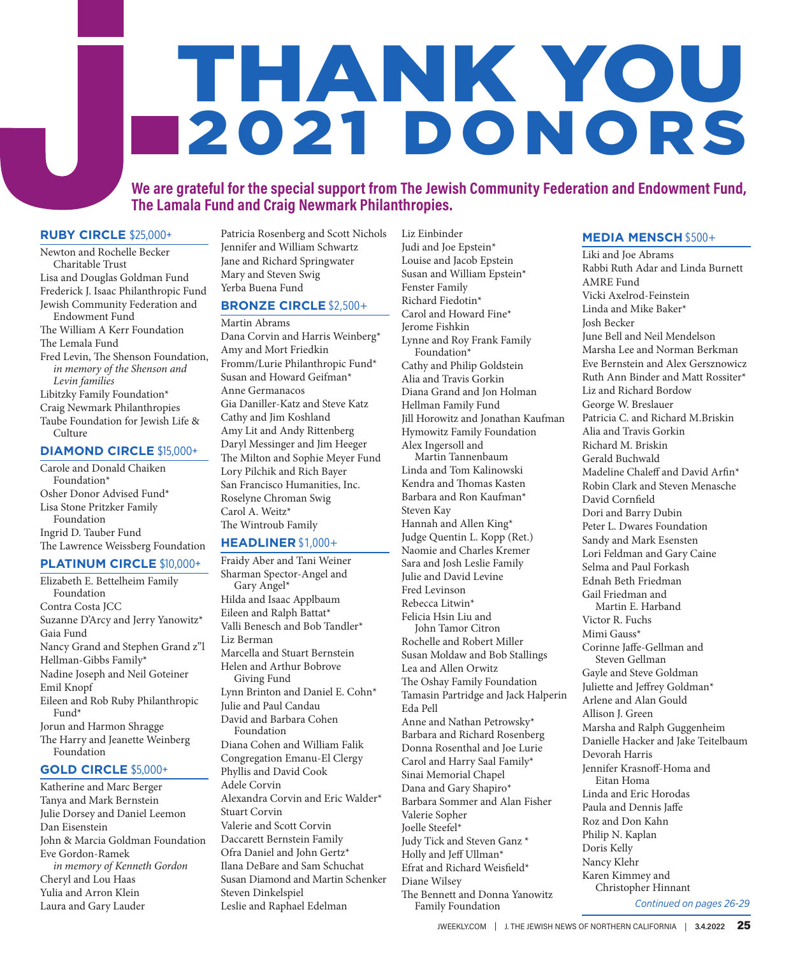# THANK YOU 2021 DONORS

#### **We are grateful for the special support from The Jewish Community Federation and Endowment Fund, The Lamala Fund and Craig Newmark Philanthropies.**

Liz Einbinder

#### **RUBY CIRCLE** \$25,000+

Newton and Rochelle Becker Charitable Trust Lisa and Douglas Goldman Fund Frederick J. Isaac Philanthropic Fund Jewish Community Federation and Endowment Fund The William A Kerr Foundation The Lemala Fund Fred Levin, The Shenson Foundation, *in memory of the Shenson and Levin families* Libitzky Family Foundation\* Craig Newmark Philanthropies Taube Foundation for Jewish Life & Culture

#### **DIAMOND CIRCLE** \$15,000+

Carole and Donald Chaiken Foundation\* Osher Donor Advised Fund\* Lisa Stone Pritzker Family Foundation Ingrid D. Tauber Fund The Lawrence Weissberg Foundation

#### **PLATINUM CIRCLE** \$10,000+

Elizabeth E. Bettelheim Family Foundation Contra Costa JCC Suzanne D'Arcy and Jerry Yanowitz\* Gaia Fund Nancy Grand and Stephen Grand z"l Hellman-Gibbs Family\* Nadine Joseph and Neil Goteiner Emil Knopf Eileen and Rob Ruby Philanthropic Fund\* Jorun and Harmon Shragge The Harry and Jeanette Weinberg Foundation **GOLD CIRCLE** \$5,000+ Katherine and Marc Berger

Tanya and Mark Bernstein Julie Dorsey and Daniel Leemon Dan Eisenstein John & Marcia Goldman Foundation Eve Gordon-Ramek *in memory of Kenneth Gordon* Cheryl and Lou Haas Yulia and Arron Klein Laura and Gary Lauder

Patricia Rosenberg and Scott Nichols Jennifer and William Schwartz Jane and Richard Springwater Mary and Steven Swig Yerba Buena Fund

#### **BRONZE CIRCLE** \$2,500+

Martin Abrams

Dana Corvin and Harris Weinberg\* Amy and Mort Friedkin Fromm/Lurie Philanthropic Fund\* Susan and Howard Geifman\* Anne Germanacos Gia Daniller-Katz and Steve Katz Cathy and Jim Koshland Amy Lit and Andy Rittenberg Daryl Messinger and Jim Heeger The Milton and Sophie Meyer Fund Lory Pilchik and Rich Bayer San Francisco Humanities, Inc. Roselyne Chroman Swig Carol A. Weitz\* The Wintroub Family

#### **HEADLINER** \$1,000+

Fraidy Aber and Tani Weiner Sharman Spector-Angel and Gary Angel\* Hilda and Isaac Applbaum Eileen and Ralph Battat\* Valli Benesch and Bob Tandler\* Liz Berman Marcella and Stuart Bernstein Helen and Arthur Bobrove Giving Fund Lynn Brinton and Daniel E. Cohn\* Julie and Paul Candau David and Barbara Cohen Foundation Diana Cohen and William Falik Congregation Emanu-El Clergy Phyllis and David Cook Adele Corvin Alexandra Corvin and Eric Walder\* Stuart Corvin Valerie and Scott Corvin Daccarett Bernstein Family Ofra Daniel and John Gertz\* Ilana DeBare and Sam Schuchat Susan Diamond and Martin Schenker Steven Dinkelspiel Leslie and Raphael Edelman

Judi and Joe Epstein\* Louise and Jacob Epstein Susan and William Epstein\* Fenster Family Richard Fiedotin\* Carol and Howard Fine\* Jerome Fishkin Lynne and Roy Frank Family Foundation\* Cathy and Philip Goldstein Alia and Travis Gorkin Diana Grand and Jon Holman Hellman Family Fund Jill Horowitz and Jonathan Kaufman Hymowitz Family Foundation Alex Ingersoll and Martin Tannenbaum Linda and Tom Kalinowski Kendra and Thomas Kasten Barbara and Ron Kaufman\* Steven Kay Hannah and Allen King\* Judge Quentin L. Kopp (Ret.) Naomie and Charles Kremer Sara and Josh Leslie Family Julie and David Levine Fred Levinson Rebecca Litwin\* Felicia Hsin Liu and John Tamor Citron Rochelle and Robert Miller Susan Moldaw and Bob Stallings Lea and Allen Orwitz The Oshay Family Foundation Tamasin Partridge and Jack Halperin Eda Pell Anne and Nathan Petrowsky\* Barbara and Richard Rosenberg Donna Rosenthal and Joe Lurie Carol and Harry Saal Family\* Sinai Memorial Chapel Dana and Gary Shapiro\* Barbara Sommer and Alan Fisher Valerie Sopher Joelle Steefel\* Judy Tick and Steven Ganz \* Holly and Jeff Ullman\* Efrat and Richard Weisfield\* Diane Wilsey The Bennett and Donna Yanowitz Family Foundation

#### **MEDIA MENSCH** \$500+

Liki and Joe Abrams Rabbi Ruth Adar and Linda Burnett AMRE Fund Vicki Axelrod-Feinstein Linda and Mike Baker\* Josh Becker June Bell and Neil Mendelson Marsha Lee and Norman Berkman Eve Bernstein and Alex Gersznowicz Ruth Ann Binder and Matt Rossiter\* Liz and Richard Bordow George W. Breslauer Patricia C. and Richard M.Briskin Alia and Travis Gorkin Richard M. Briskin Gerald Buchwald Madeline Chaleff and David Arfin\* Robin Clark and Steven Menasche David Cornfield Dori and Barry Dubin Peter L. Dwares Foundation Sandy and Mark Esensten Lori Feldman and Gary Caine Selma and Paul Forkash Ednah Beth Friedman Gail Friedman and Martin E. Harband Victor R. Fuchs Mimi Gauss\* Corinne Jaffe-Gellman and Steven Gellman Gayle and Steve Goldman Juliette and Jeffrey Goldman\* Arlene and Alan Gould Allison J. Green Marsha and Ralph Guggenheim Danielle Hacker and Jake Teitelbaum Devorah Harris Jennifer Krasnoff-Homa and Eitan Homa Linda and Eric Horodas Paula and Dennis Jaffe Roz and Don Kahn Philip N. Kaplan Doris Kelly Nancy Klehr Karen Kimmey and Christopher Hinnant *Continued on pages 26-29*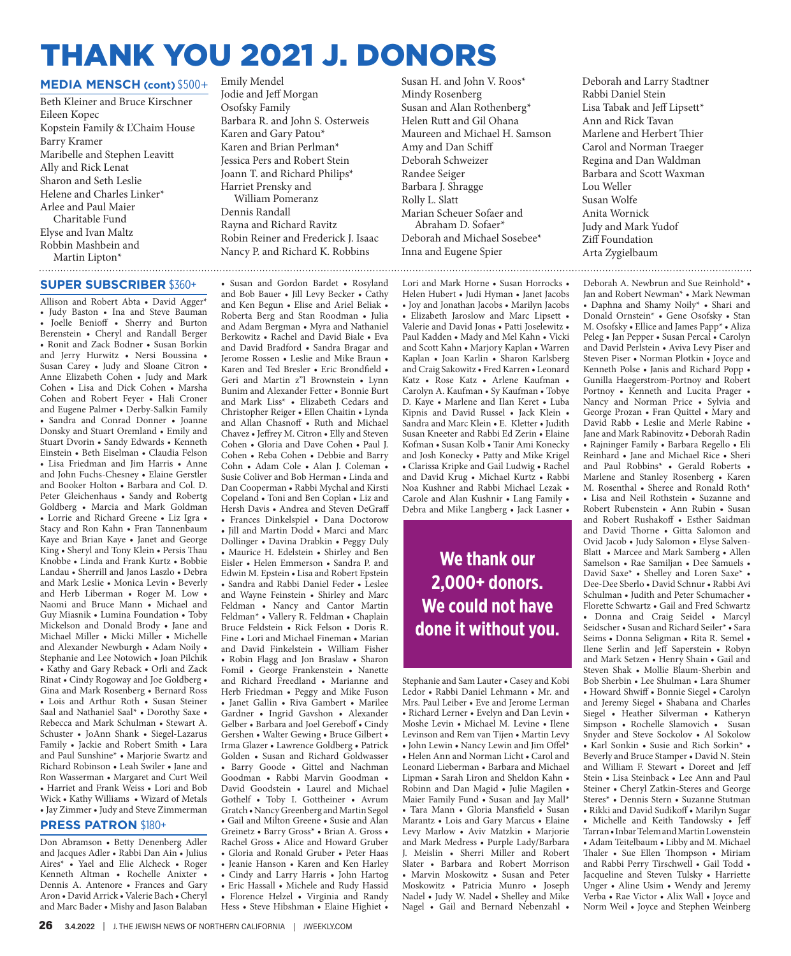# THANK YOU 2021 J. DONORS

#### **MEDIA MENSCH (cont)** \$500+

Beth Kleiner and Bruce Kirschner Eileen Kopec Kopstein Family & L'Chaim House Barry Kramer Maribelle and Stephen Leavitt Ally and Rick Lenat Sharon and Seth Leslie Helene and Charles Linker\* Arlee and Paul Maier Charitable Fund Elyse and Ivan Maltz Robbin Mashbein and Martin Lipton\* 

#### **SUPER SUBSCRIBER** \$360+

Allison and Robert Abta • David Agger\* • Judy Baston • Ina and Steve Bauman • Joelle Benioff • Sherry and Burton Berenstein • Cheryl and Randall Berger • Ronit and Zack Bodner • Susan Borkin and Jerry Hurwitz • Nersi Boussina • Susan Carey • Judy and Sloane Citron • Anne Elizabeth Cohen • Judy and Mark Cohen • Lisa and Dick Cohen • Marsha Cohen and Robert Feyer • Hali Croner and Eugene Palmer • Derby-Salkin Family • Sandra and Conrad Donner • Joanne Donsky and Stuart Oremland • Emily and Stuart Dvorin • Sandy Edwards • Kenneth Einstein • Beth Eiselman • Claudia Felson • Lisa Friedman and Jim Harris • Anne and John Fuchs-Chesney • Elaine Gerstler and Booker Holton • Barbara and Col. D. Peter Gleichenhaus • Sandy and Robertg Goldberg • Marcia and Mark Goldman • Lorrie and Richard Greene • Liz Igra • Stacy and Ron Kahn • Fran Tannenbaum Kaye and Brian Kaye • Janet and George King • Sheryl and Tony Klein • Persis Thau Knobbe • Linda and Frank Kurtz • Bobbie Landau • Sherrill and Janos Laszlo • Debra and Mark Leslie • Monica Levin • Beverly and Herb Liberman • Roger M. Low • Naomi and Bruce Mann • Michael and Guy Miasnik • Lumina Foundation • Toby Mickelson and Donald Brody • Jane and Michael Miller • Micki Miller • Michelle and Alexander Newburgh • Adam Noily • Stephanie and Lee Notowich • Joan Pilchik • Kathy and Gary Reback • Orli and Zack Rinat • Cindy Rogoway and Joe Goldberg • Gina and Mark Rosenberg • Bernard Ross • Lois and Arthur Roth • Susan Steiner Saal and Nathaniel Saal\* • Dorothy Saxe • Rebecca and Mark Schulman • Stewart A. Schuster • JoAnn Shank • Siegel-Lazarus Family • Jackie and Robert Smith • Lara and Paul Sunshine\* • Marjorie Swartz and Richard Robinson • Leah Swiler • Jane and Ron Wasserman • Margaret and Curt Weil • Harriet and Frank Weiss • Lori and Bob Wick • Kathy Williams • Wizard of Metals • Jay Zimmer • Judy and Steve Zimmerman

#### **PRESS PATRON** \$180+

Don Abramson • Betty Denenberg Adler and Jacques Adler • Rabbi Dan Ain • Julius Aires\* • Yael and Elie Alcheck • Roger Kenneth Altman • Rochelle Anixter • Dennis A. Antenore • Frances and Gary Aron • David Arrick • Valerie Bach • Cheryl and Marc Bader • Mishy and Jason Balaban

Emily Mendel Jodie and Jeff Morgan Osofsky Family Barbara R. and John S. Osterweis Karen and Gary Patou\* Karen and Brian Perlman\* Jessica Pers and Robert Stein Joann T. and Richard Philips\* Harriet Prensky and William Pomeranz Dennis Randall Rayna and Richard Ravitz Robin Reiner and Frederick J. Isaac Nancy P. and Richard K. Robbins

• Susan and Gordon Bardet • Rosyland and Bob Bauer • Jill Levy Becker • Cathy and Ken Begun • Elise and Ariel Beliak • Roberta Berg and Stan Roodman • Julia and Adam Bergman • Myra and Nathaniel Berkowitz • Rachel and David Biale • Eva and David Bradford • Sandra Bragar and Jerome Rossen • Leslie and Mike Braun • Karen and Ted Bresler • Eric Brondfield • Geri and Martin z"l Brownstein • Lynn Bunim and Alexander Fetter • Bonnie Burt and Mark Liss\* • Elizabeth Cedars and Christopher Reiger • Ellen Chaitin • Lynda and Allan Chasnoff • Ruth and Michael Chavez • Jeffrey M. Citron • Elly and Steven Cohen • Gloria and Dave Cohen • Paul J. Cohen • Reba Cohen • Debbie and Barry Cohn • Adam Cole • Alan J. Coleman • Susie Coliver and Bob Herman • Linda and Dan Cooperman • Rabbi Mychal and Kirsti Copeland • Toni and Ben Coplan • Liz and Hersh Davis • Andrea and Steven DeGraff • Frances Dinkelspiel • Dana Doctorow • Jill and Martin Dodd • Marci and Marc Dollinger • Davina Drabkin • Peggy Duly • Maurice H. Edelstein • Shirley and Ben Eisler • Helen Emmerson • Sandra P. and Edwin M. Epstein • Lisa and Robert Epstein • Sandra and Rabbi Daniel Feder • Leslee and Wayne Feinstein • Shirley and Marc Feldman • Nancy and Cantor Martin Feldman\* • Vallery R. Feldman • Chaplain Bruce Feldstein • Rick Felson • Doris R. Fine • Lori and Michael Fineman • Marian and David Finkelstein • William Fisher • Robin Flagg and Jon Braslaw • Sharon Fomil • George Frankenstein • Nanette and Richard Freedland • Marianne and Herb Friedman • Peggy and Mike Fuson • Janet Gallin • Riva Gambert • Marilee Gardner • Ingrid Gavshon • Alexander Gelber • Barbara and Joel Gereboff • Cindy Gershen • Walter Gewing • Bruce Gilbert • Irma Glazer • Lawrence Goldberg • Patrick Golden • Susan and Richard Goldwasser • Barry Goode • Gittel and Nachman Goodman • Rabbi Marvin Goodman • David Goodstein • Laurel and Michael Gothelf • Toby I. Gottheiner • Avrum Gratch • Nancy Greenberg and Martin Segol • Gail and Milton Greene • Susie and Alan Greinetz • Barry Gross\* • Brian A. Gross • Rachel Gross • Alice and Howard Gruber • Gloria and Ronald Gruber • Peter Haas • Jeanie Hanson • Karen and Ken Harley • Cindy and Larry Harris • John Hartog • Eric Hassall • Michele and Rudy Hassid • Florence Helzel • Virginia and Randy Hess • Steve Hibshman • Elaine Highiet •

Susan H. and John V. Roos\* Mindy Rosenberg Susan and Alan Rothenberg\* Helen Rutt and Gil Ohana Maureen and Michael H. Samson Amy and Dan Schiff Deborah Schweizer Randee Seiger Barbara J. Shragge Rolly L. Slatt Marian Scheuer Sofaer and Abraham D. Sofaer\* Deborah and Michael Sosebee\* Inna and Eugene Spier

Lori and Mark Horne • Susan Horrocks • Helen Hubert • Judi Hyman • Janet Jacobs • Joy and Jonathan Jacobs • Marilyn Jacobs • Elizabeth Jaroslow and Marc Lipsett • Valerie and David Jonas • Patti Joselewitz • Paul Kadden • Mady and Mel Kahn • Vicki and Scott Kahn • Marjory Kaplan • Warren Kaplan • Joan Karlin • Sharon Karlsberg and Craig Sakowitz • Fred Karren • Leonard Katz • Rose Katz • Arlene Kaufman • Carolyn A. Kaufman • Sy Kaufman • Tobye D. Kaye • Marlene and Ilan Keret • Luba Kipnis and David Russel • Jack Klein • Sandra and Marc Klein • E. Kletter • Judith Susan Kneeter and Rabbi Ed Zerin • Elaine Kofman • Susan Kolb • Tanir Ami Konecky and Josh Konecky • Patty and Mike Krigel • Clarissa Kripke and Gail Ludwig • Rachel and David Krug • Michael Kurtz • Rabbi Noa Kushner and Rabbi Michael Lezak • Carole and Alan Kushnir • Lang Family • Debra and Mike Langberg • Jack Lasner •

## **We thank our 2,000+ donors. We could not have done it without you.**

Stephanie and Sam Lauter • Casey and Kobi Ledor • Rabbi Daniel Lehmann • Mr. and Mrs. Paul Leiber • Eve and Jerome Lerman • Richard Lerner • Evelyn and Dan Levin • Moshe Levin • Michael M. Levine • Ilene Levinson and Rem van Tijen • Martin Levy • John Lewin • Nancy Lewin and Jim Offel\* • Helen Ann and Norman Licht • Carol and Leonard Lieberman • Barbara and Michael Lipman • Sarah Liron and Sheldon Kahn • Robinn and Dan Magid • Julie Magilen • Maier Family Fund • Susan and Jay Mall\* • Tara Mann • Gloria Mansfield • Susan Marantz • Lois and Gary Marcus • Elaine Levy Marlow • Aviv Matzkin • Marjorie and Mark Medress • Purple Lady/Barbara J. Meislin • Sherri Miller and Robert Slater • Barbara and Robert Morrison • Marvin Moskowitz • Susan and Peter Moskowitz • Patricia Munro • Joseph Nadel • Judy W. Nadel • Shelley and Mike Nagel • Gail and Bernard Nebenzahl •

Deborah and Larry Stadtner Rabbi Daniel Stein Lisa Tabak and Jeff Lipsett\* Ann and Rick Tavan Marlene and Herbert Thier Carol and Norman Traeger Regina and Dan Waldman Barbara and Scott Waxman Lou Weller Susan Wolfe Anita Wornick Judy and Mark Yudof Ziff Foundation Arta Zygielbaum

Deborah A. Newbrun and Sue Reinhold\* • Jan and Robert Newman\* • Mark Newman • Daphna and Shamy Noily\* • Shari and Donald Ornstein\* • Gene Osofsky • Stan M. Osofsky • Ellice and James Papp\* • Aliza Peleg • Jan Pepper • Susan Percal • Carolyn and David Perlstein • Aviva Levy Piser and Steven Piser • Norman Plotkin • Joyce and Kenneth Polse • Janis and Richard Popp • Gunilla Haegerstrom-Portnoy and Robert Portnoy • Kenneth and Lucita Prager • Nancy and Norman Price • Sylvia and George Prozan • Fran Quittel • Mary and David Rabb • Leslie and Merle Rabine • Jane and Mark Rabinovitz • Deborah Radin • Rajninger Family • Barbara Regello • Eli Reinhard • Jane and Michael Rice • Sheri and Paul Robbins\* • Gerald Roberts • Marlene and Stanley Rosenberg • Karen M. Rosenthal • Sheree and Ronald Roth\* • Lisa and Neil Rothstein • Suzanne and Robert Rubenstein • Ann Rubin • Susan and Robert Rushakoff • Esther Saidman and David Thorne • Gitta Salomon and Ovid Jacob • Judy Salomon • Elyse Salven-Blatt • Marcee and Mark Samberg • Allen Samelson • Rae Samiljan • Dee Samuels • David Saxe\* • Shelley and Loren Saxe\* • Dee-Dee Sberlo • David Schnur • Rabbi Avi Schulman • Judith and Peter Schumacher • Florette Schwartz • Gail and Fred Schwartz • Donna and Craig Seidel • Marcyl Seidscher • Susan and Richard Seiler\* • Sara Seims • Donna Seligman • Rita R. Semel • Ilene Serlin and Jeff Saperstein • Robyn and Mark Setzen • Henry Shain • Gail and Steven Shak • Mollie Blaum-Sherbin and Bob Sherbin • Lee Shulman • Lara Shumer • Howard Shwiff • Bonnie Siegel • Carolyn and Jeremy Siegel • Shabana and Charles Siegel • Heather Silverman • Katheryn Simpson • Rochelle Slamovich • Susan Snyder and Steve Sockolov • Al Sokolow • Karl Sonkin • Susie and Rich Sorkin\* • Beverly and Bruce Stamper • David N. Stein and William F. Stewart • Doreet and Jeff Stein • Lisa Steinback • Lee Ann and Paul Steiner • Cheryl Zatkin-Steres and George Steres\* • Dennis Stern • Suzanne Stutman • Rikki and David Sudikoff • Marilyn Sugar • Michelle and Keith Tandowsky • Jeff Tarran • Inbar Telem and Martin Lowenstein • Adam Teitelbaum • Libby and M. Michael Thaler • Sue Ellen Thompson • Miriam and Rabbi Perry Tirschwell • Gail Todd • Jacqueline and Steven Tulsky • Harriette Unger • Aline Usim • Wendy and Jeremy Verba • Rae Victor • Alix Wall • Joyce and Norm Weil • Joyce and Stephen Weinberg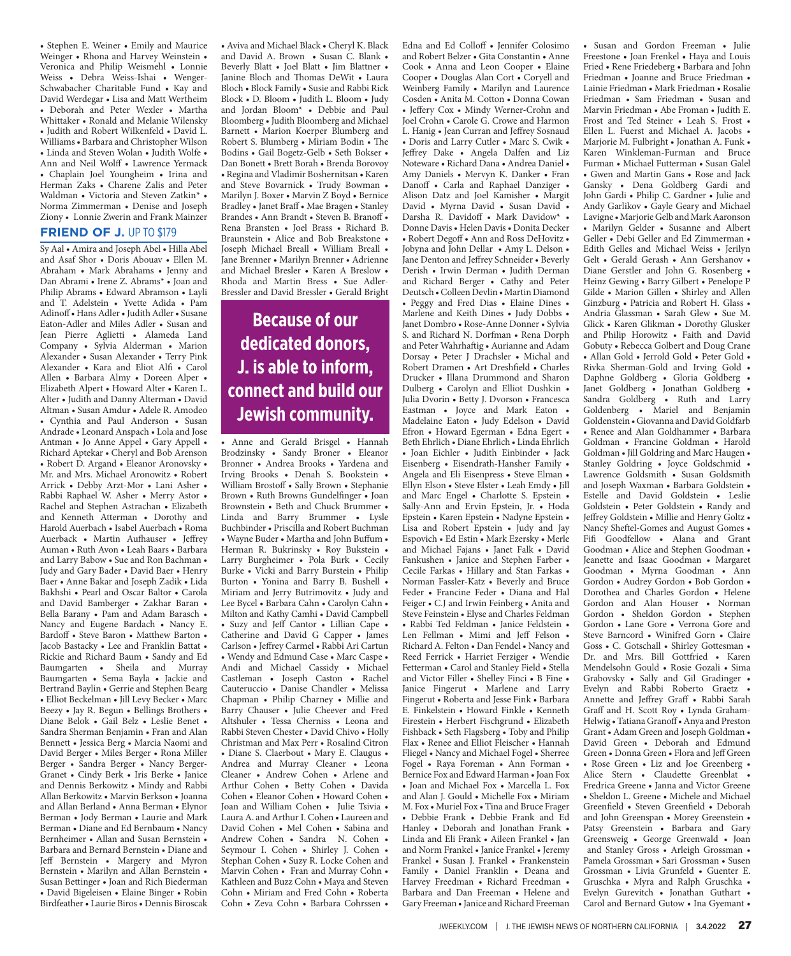• Stephen E. Weiner • Emily and Maurice Weinger • Rhona and Harvey Weinstein • Veronica and Philip Weismehl • Lonnie Weiss • Debra Weiss-Ishai • Wenger-Schwabacher Charitable Fund • Kay and David Werdegar • Lisa and Matt Wertheim • Deborah and Peter Wexler • Martha Whittaker • Ronald and Melanie Wilensky • Judith and Robert Wilkenfeld • David L. Williams • Barbara and Christopher Wilson • Linda and Steven Wolan • Judith Wolfe • Ann and Neil Wolff • Lawrence Yermack • Chaplain Joel Youngheim • Irina and Herman Zaks • Charene Zalis and Peter Waldman • Victoria and Steven Zatkin\* • Norma Zimmerman • Denise and Joseph Ziony • Lonnie Zwerin and Frank Mainzer

#### **FRIEND OF J. UP TO \$179**

Sy Aal • Amira and Joseph Abel • Hilla Abel and Asaf Shor • Doris Abouav • Ellen M. Abraham • Mark Abrahams • Jenny and Dan Abrami • Irene Z. Abrams\* • Joan and Philip Abrams • Edward Abramson • Layli and T. Adelstein • Yvette Adida • Pam Adinoff • Hans Adler • Judith Adler • Susane Eaton-Adler and Miles Adler • Susan and Jean Pierre Aglietti • Alameda Land Company • Sylvia Alderman • Marion Alexander • Susan Alexander • Terry Pink Alexander • Kara and Eliot Alfi • Carol Allen • Barbara Almy • Doreen Alper • Elizabeth Alpert • Howard Alter • Karen L. Alter • Judith and Danny Alterman • David Altman • Susan Amdur • Adele R. Amodeo • Cynthia and Paul Anderson • Susan Andrade • Leonard Anspach • Lola and Jose Antman • Jo Anne Appel • Gary Appell • Richard Aptekar • Cheryl and Bob Arenson • Robert D. Argand • Eleanor Aronovsky • Mr. and Mrs. Michael Aronowitz • Robert Arrick • Debby Arzt-Mor • Lani Asher • Rabbi Raphael W. Asher • Merry Astor • Rachel and Stephen Astrachan • Elizabeth and Kenneth Atterman • Dorothy and Harold Auerbach • Isabel Auerbach • Roma Auerback • Martin Aufhauser • Jeffrey Auman • Ruth Avon • Leah Baars • Barbara and Larry Babow • Sue and Ron Bachman • Judy and Gary Bader • David Baer • Henry Baer • Anne Bakar and Joseph Zadik • Lida Bakhshi • Pearl and Oscar Baltor • Carola and David Bamberger • Zakhar Baran • Bella Barany • Pam and Adam Barasch • Nancy and Eugene Bardach • Nancy E. Bardoff • Steve Baron • Matthew Barton • Jacob Bastacky • Lee and Franklin Battat • Rickie and Richard Baum • Sandy and Ed Baumgarten • Sheila and Murray Baumgarten • Sema Bayla • Jackie and Bertrand Baylin • Gerrie and Stephen Bearg • Elliot Beckelman • Jill Levy Becker • Marc Beezy • Jay R. Begun • Bellings Brothers • Diane Belok • Gail Belz • Leslie Benet • Sandra Sherman Benjamin • Fran and Alan Bennett • Jessica Berg • Marcia Naomi and David Berger • Miles Berger • Rona Miller Berger • Sandra Berger • Nancy Berger-Granet • Cindy Berk • Iris Berke • Janice and Dennis Berkowitz • Mindy and Rabbi Allan Berkowitz • Marvin Berkson • Joanna and Allan Berland • Anna Berman • Elynor Berman • Jody Berman • Laurie and Mark Berman • Diane and Ed Bernbaum • Nancy Bernheimer • Allan and Susan Bernstein • Barbara and Bernard Bernstein • Diane and Jeff Bernstein • Margery and Myron Bernstein • Marilyn and Allan Bernstein • Susan Bettinger • Joan and Rich Biederman • David Bigeleisen • Elaine Binger • Robin Birdfeather • Laurie Biros • Dennis Biroscak

• Aviva and Michael Black • Cheryl K. Black and David A. Brown • Susan C. Blank • Beverly Blatt • Joel Blatt • Jim Blattner • Janine Bloch and Thomas DeWit • Laura Bloch • Block Family • Susie and Rabbi Rick Block • D. Bloom • Judith L. Bloom • Judy and Jordan Bloom\* • Debbie and Paul Bloomberg • Judith Bloomberg and Michael Barnett • Marion Koerper Blumberg and Robert S. Blumberg • Miriam Bodin • The Bodins • Gail Bogetz-Gelb • Seth Bokser • Dan Bonett • Brett Borah • Brenda Borovoy • Regina and Vladimir Boshernitsan • Karen and Steve Bovarnick • Trudy Bowman • Marilyn J. Boxer • Marvin Z Boyd • Bernice Bradley • Janet Braff • Mae Bragen • Stanley Brandes • Ann Brandt • Steven B. Branoff • Rena Bransten • Joel Brass • Richard B. Braunstein • Alice and Bob Breakstone • Joseph Michael Breall • William Breall • Jane Brenner • Marilyn Brenner • Adrienne and Michael Bresler • Karen A Breslow • Rhoda and Martin Bress • Sue Adler-Bressler and David Bressler • Gerald Bright

### **Because of our dedicated donors, J. is able to inform, connect and build our Jewish community.**

• Anne and Gerald Brisgel • Hannah Brodzinsky • Sandy Broner • Eleanor Bronner • Andrea Brooks • Yardena and Irving Brooks • Denah S. Bookstein • William Brostoff • Sally Brown • Stephanie Brown • Ruth Browns Gundelfinger • Joan Brownstein • Beth and Chuck Brummer • Linda and Barry Brummer • Lysle Buchbinder • Priscilla and Robert Buchman • Wayne Buder • Martha and John Buffum • Herman R. Bukrinsky • Roy Bukstein • Larry Burgheimer • Pola Burk • Cecily Burke • Vicki and Barry Burstein • Philip Burton • Yonina and Barry B. Bushell • Miriam and Jerry Butrimovitz • Judy and Lee Bycel • Barbara Cahn • Carolyn Cahn • Milton and Kathy Camhi • David Campbell • Suzy and Jeff Cantor • Lillian Cape • Catherine and David G Capper • James Carlson • Jeffrey Carmel • Rabbi Ari Cartun • Wendy and Edmund Case • Marc Caspe • Andi and Michael Cassidy • Michael Castleman • Joseph Caston • Rachel Cauteruccio • Danise Chandler • Melissa Chapman • Philip Charney • Millie and Barry Chauser • Julie Cheever and Fred Altshuler • Tessa Cherniss • Leona and Rabbi Steven Chester • David Chivo • Holly Christman and Max Perr • Rosalind Citron • Diane S. Claerbout • Mary E. Claugus • Andrea and Murray Cleaner • Leona Cleaner • Andrew Cohen • Arlene and Arthur Cohen • Betty Cohen • Davida Cohen • Eleanor Cohen • Howard Cohen • Joan and William Cohen • Julie Tsivia • Laura A. and Arthur I. Cohen • Laureen and David Cohen • Mel Cohen • Sabina and Andrew Cohen • Sandra N. Cohen • Seymour I. Cohen • Shirley J. Cohen • Stephan Cohen • Suzy R. Locke Cohen and Marvin Cohen • Fran and Murray Cohn • Kathleen and Buzz Cohn • Maya and Steven Cohn • Miriam and Fred Cohn • Roberta Cohn • Zeva Cohn • Barbara Cohrssen •

Edna and Ed Colloff • Jennifer Colosimo and Robert Belzer • Gita Constantin • Anne Cook • Anna and Leon Cooper • Elaine Cooper • Douglas Alan Cort • Coryell and Weinberg Family • Marilyn and Laurence Cosden • Anita M. Cotton • Donna Cowan • Jeffery Cox • Mindy Werner-Crohn and Joel Crohn • Carole G. Crowe and Harmon L. Hanig • Jean Curran and Jeffrey Sosnaud • Doris and Larry Cutler • Marc S. Cwik • Jeffrey Dake • Angela Dalfen and Liz Noteware • Richard Dana • Andrea Daniel • Amy Daniels • Mervyn K. Danker • Fran Danoff • Carla and Raphael Danziger • Alison Datz and Joel Kamisher • Margit David • Myrna David • Susan David • Darsha R. Davidoff • Mark Davidow\* • Donne Davis • Helen Davis • Donita Decker • Robert Degoff • Ann and Ross DeHovitz • Jobyna and John Dellar • Amy L. Delson • Jane Denton and Jeffrey Schneider • Beverly Derish • Irwin Derman • Judith Derman and Richard Berger • Cathy and Peter Deutsch • Colleen Devlin • Martin Diamond • Peggy and Fred Dias • Elaine Dines • Marlene and Keith Dines • Judy Dobbs • Janet Dombro • Rose-Anne Donner • Sylvia S. and Richard N. Dorfman • Rena Dorph and Peter Wahrhaftig • Aurianne and Adam Dorsay • Peter J Drachsler • Michal and Robert Dramen • Art Dreshfield • Charles Drucker • Illana Drummond and Sharon Dulberg • Carolyn and Elliot Dushkin • Julia Dvorin • Betty J. Dvorson • Francesca Eastman • Joyce and Mark Eaton • Madelaine Eaton • Judy Edelson • David Efron • Howard Egerman • Edna Egert • Beth Ehrlich • Diane Ehrlich • Linda Ehrlich • Joan Eichler • Judith Einbinder • Jack Eisenberg • Eisendrath-Hansher Family • Angela and Eli Eisenpress • Steve Elman • Ellyn Elson • Steve Elster • Leah Emdy • Jill and Marc Engel • Charlotte S. Epstein • Sally-Ann and Ervin Epstein, Jr. • Hoda Epstein • Karen Epstein • Nadyne Epstein • Lisa and Robert Epstein • Judy and Jay Espovich • Ed Estin • Mark Ezersky • Merle and Michael Fajans • Janet Falk • David Fankushen • Janice and Stephen Farber • Cecile Farkas • Hillary and Stan Farkas • Norman Fassler-Katz • Beverly and Bruce Feder • Francine Feder • Diana and Hal Feiger • C.J and Irwin Feinberg • Anita and Steve Feinstein • Elyse and Charles Feldman • Rabbi Ted Feldman • Janice Feldstein • Len Fellman • Mimi and Jeff Felson • Richard A. Felton • Dan Fendel • Nancy and Reed Ferrick • Harriet Ferziger • Wendie Fetterman • Carol and Stanley Field • Stella and Victor Filler • Shelley Finci • B Fine • Janice Fingerut • Marlene and Larry Fingerut • Roberta and Jesse Fink • Barbara E. Finkelstein • Howard Finkle • Kenneth Firestein • Herbert Fischgrund • Elizabeth Fishback • Seth Flagsberg • Toby and Philip Flax • Renee and Elliot Fleischer • Hannah Fliegel • Nancy and Michael Fogel • Sherree Fogel • Raya Foreman • Ann Forman • Bernice Fox and Edward Harman • Joan Fox • Joan and Michael Fox • Marcella L. Fox and Alan J. Gould • Michelle Fox • Miriam M. Fox • Muriel Fox • Tina and Bruce Frager • Debbie Frank • Debbie Frank and Ed Hanley • Deborah and Jonathan Frank • Linda and Eli Frank • Aileen Frankel • Jan and Norm Frankel • Janice Frankel • Jeremy Frankel • Susan J. Frankel • Frankenstein Family • Daniel Franklin • Deana and Harvey Freedman • Richard Freedman • Barbara and Dan Freeman • Helene and Gary Freeman • Janice and Richard Freeman • Susan and Gordon Freeman • Julie Freestone • Joan Frenkel • Haya and Louis Fried • Rene Friedeberg • Barbara and John Friedman • Joanne and Bruce Friedman • Lainie Friedman • Mark Friedman • Rosalie Friedman • Sam Friedman • Susan and Marvin Friedman • Abe Froman • Judith E. Frost and Ted Steiner • Leah S. Frost • Ellen L. Fuerst and Michael A. Jacobs • Marjorie M. Fulbright • Jonathan A. Funk • Karen Winkleman-Furman and Bruce Furman • Michael Futterman • Susan Galel • Gwen and Martin Gans • Rose and Jack Gansky • Dena Goldberg Gardi and John Gardi • Philip C. Gardner • Julie and Andy Garlikov • Gayle Geary and Michael Lavigne • Marjorie Gelb and Mark Aaronson • Marilyn Gelder • Susanne and Albert Geller • Debi Geller and Ed Zimmerman • Edith Gelles and Michael Weiss • Jerilyn Gelt • Gerald Gerash • Ann Gershanov • Diane Gerstler and John G. Rosenberg • Heinz Gewing • Barry Gilbert • Penelope P Gilde • Marion Gillen • Shirley and Allen Ginzburg • Patricia and Robert H. Glass • Andria Glassman • Sarah Glew • Sue M. Glick • Karen Glikman • Dorothy Glusker and Philip Horowitz • Faith and David Gobuty • Rebecca Golbert and Doug Crane • Allan Gold • Jerrold Gold • Peter Gold • Rivka Sherman-Gold and Irving Gold • Daphne Goldberg • Gloria Goldberg • Janet Goldberg • Jonathan Goldberg • Sandra Goldberg • Ruth and Larry Goldenberg • Mariel and Benjamin Goldenstein • Giovanna and David Goldfarb • Renee and Alan Goldhammer • Barbara Goldman • Francine Goldman • Harold Goldman • Jill Goldring and Marc Haugen • Stanley Goldring • Joyce Goldschmid • Lawrence Goldsmith • Susan Goldsmith and Joseph Waxman • Barbara Goldstein • Estelle and David Goldstein • Leslie Goldstein • Peter Goldstein • Randy and Jeffrey Goldstein • Millie and Henry Goltz • Nancy Sheftel-Gomes and August Gomes • Fifi Goodfellow • Alana and Grant Goodman • Alice and Stephen Goodman • Jeanette and Isaac Goodman • Margaret Goodman • Myrna Goodman • Ann Gordon • Audrey Gordon • Bob Gordon • Dorothea and Charles Gordon • Helene Gordon and Alan Houser • Norman Gordon • Sheldon Gordon • Stephen Gordon • Lane Gore • Verrona Gore and Steve Barncord • Winifred Gorn • Claire Goss • C. Gotschall • Shirley Gottesman • Dr. and Mrs. Bill Gottfried • Karen Mendelsohn Gould • Rosie Gozali • Sima Grabovsky • Sally and Gil Gradinger • Evelyn and Rabbi Roberto Graetz • Annette and Jeffrey Graff • Rabbi Sarah Graff and H. Scott Roy • Lynda Graham-Helwig • Tatiana Granoff • Anya and Preston Grant • Adam Green and Joseph Goldman • David Green • Deborah and Edmund Green • Donna Green • Flora and Jeff Green • Rose Green • Liz and Joe Greenberg • Alice Stern • Claudette Greenblat • Fredrica Greene • Janna and Victor Greene • Sheldon L. Greene • Michele and Michael Greenfield • Steven Greenfield • Deborah and John Greenspan • Morey Greenstein • Patsy Greenstein • Barbara and Gary Greensweig • George Greenwald • Joan and Stanley Gross • Arleigh Grossman • Pamela Grossman • Sari Grossman • Susen Grossman • Livia Grunfeld • Guenter E. Gruschka • Myra and Ralph Gruschka • Evelyn Gurevitch • Jonathan Guthart • Carol and Bernard Gutow • Ina Gyemant •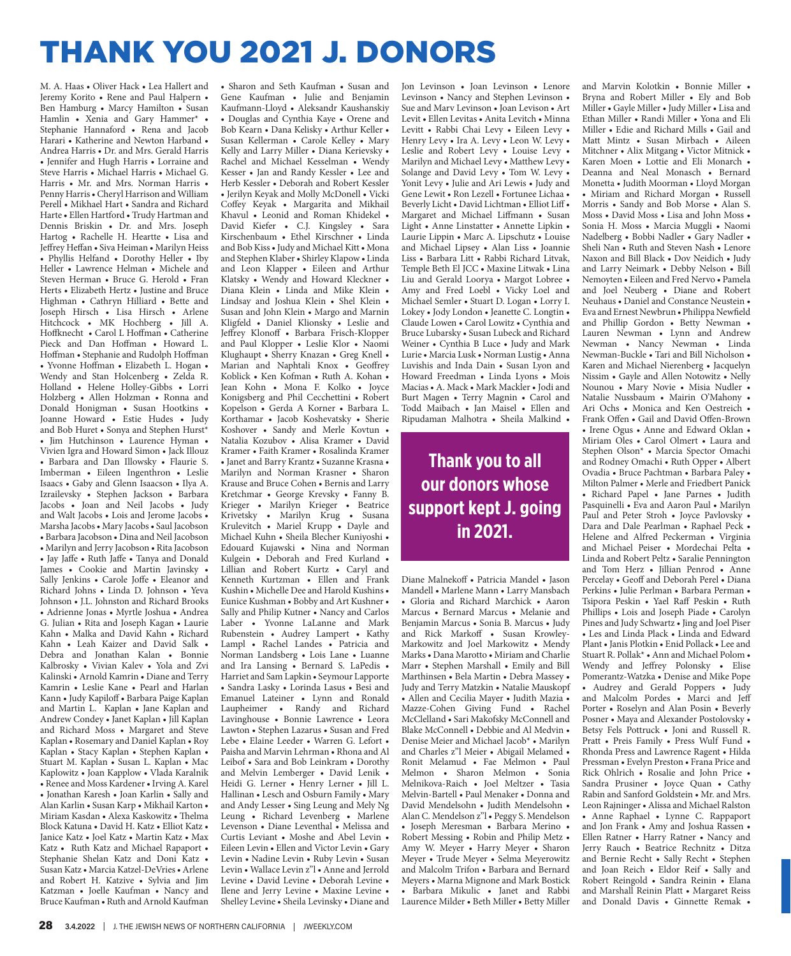# THANK YOU 2021 J. DONORS

M. A. Haas • Oliver Hack • Lea Hallert and Jeremy Korito • Rene and Paul Halpern • Ben Hamburg • Marcy Hamilton • Susan Hamlin • Xenia and Gary Hammer\* • Stephanie Hannaford • Rena and Jacob Harari • Katherine and Newton Harband • Andrea Harris • Dr. and Mrs. Gerald Harris • Jennifer and Hugh Harris • Lorraine and Steve Harris • Michael Harris • Michael G. Harris • Mr. and Mrs. Norman Harris • Penny Harris • Cheryl Harrison and William Perell • Mikhael Hart • Sandra and Richard Harte • Ellen Hartford • Trudy Hartman and Dennis Briskin • Dr. and Mrs. Joseph Hartog • Rachelle H. Heartte • Lisa and Jeffrey Heffan • Siva Heiman • Marilyn Heiss • Phyllis Helfand • Dorothy Heller • Iby Heller • Lawrence Helman • Michele and Steven Herman • Bruce G. Herold • Fran Herts • Elizabeth Hertz • Justine and Bruce Highman • Cathryn Hilliard • Bette and Joseph Hirsch • Lisa Hirsch • Arlene Hitchcock • MK Hochberg • Jill A. Hoffknecht • Carol L Hoffman • Catherine Pieck and Dan Hoffman • Howard L. Hoffman • Stephanie and Rudolph Hoffman • Yvonne Hoffman • Elizabeth L. Hogan • Wendy and Stan Holcenberg • Zelda R. Holland • Helene Holley-Gibbs • Lorri Holzberg • Allen Holzman • Ronna and Donald Honigman • Susan Hootkins • Joanne Howard • Estie Hudes • Judy and Bob Huret • Sonya and Stephen Hurst\* • Jim Hutchinson • Laurence Hyman • Vivien Igra and Howard Simon • Jack Illouz • Barbara and Dan Illowsky • Flaurie S. Imberman • Eileen Ingenthron • Leslie Isaacs • Gaby and Glenn Isaacson • Ilya A. Izrailevsky • Stephen Jackson • Barbara Jacobs • Joan and Neil Jacobs • Judy and Walt Jacobs • Lois and Jerome Jacobs • Marsha Jacobs • Mary Jacobs • Saul Jacobson • Barbara Jacobson • Dina and Neil Jacobson • Marilyn and Jerry Jacobson • Rita Jacobson • Jay Jaffe • Ruth Jaffe • Tanya and Donald James • Cookie and Martin Javinsky • Sally Jenkins • Carole Joffe • Eleanor and Richard Johns • Linda D. Johnson • Yeva Johnson • J.L. Johnston and Richard Brooks • Adrienne Jonas • Myrtle Joshua • Andrea G. Julian • Rita and Joseph Kagan • Laurie Kahn • Malka and David Kahn • Richard Kahn • Leah Kaizer and David Salk • Debra and Jonathan Kalan • Bonnie Kalbrosky • Vivian Kalev • Yola and Zvi Kalinski • Arnold Kamrin • Diane and Terry Kamrin • Leslie Kane • Pearl and Harlan Kann • Judy Kapiloff • Barbara Paige Kaplan and Martin L. Kaplan • Jane Kaplan and Andrew Condey • Janet Kaplan • Jill Kaplan and Richard Moss • Margaret and Steve Kaplan • Rosemary and Daniel Kaplan • Roy Kaplan • Stacy Kaplan • Stephen Kaplan • Stuart M. Kaplan • Susan L. Kaplan • Mac Kaplowitz • Joan Kapplow • Vlada Karalnik • Renee and Moss Kardener • Irving A. Karel • Jonathan Karesh • Joan Karlin • Sally and Alan Karlin • Susan Karp • Mikhail Karton • Miriam Kasdan • Alexa Kaskowitz • Thelma Block Katuna • David H. Katz • Elliot Katz • Janice Katz • Joel Katz • Martin Katz • Max Katz • Ruth Katz and Michael Rapaport • Stephanie Shelan Katz and Doni Katz • Susan Katz • Marcia Katzel-DeVries • Arlene and Robert H. Katzive • Sylvia and Jim Katzman • Joelle Kaufman • Nancy and Bruce Kaufman • Ruth and Arnold Kaufman

• Sharon and Seth Kaufman • Susan and Gene Kaufman • Julie and Benjamin Kaufmann-Lloyd • Aleksandr Kaushanskiy • Douglas and Cynthia Kaye • Orene and Bob Kearn • Dana Kelisky • Arthur Keller • Susan Kellerman • Carole Kelley • Mary Kelly and Larry Miller • Diana Kerievsky • Rachel and Michael Kesselman • Wendy Kesser • Jan and Randy Kessler • Lee and Herb Kessler • Deborah and Robert Kessler • Jerilyn Keyak and Molly McDonell • Vicki Coffey Keyak • Margarita and Mikhail Khavul • Leonid and Roman Khidekel • David Kiefer • C.J. Kingsley • Sara Kirschenbaum • Ethel Kirschner • Linda and Bob Kiss • Judy and Michael Kitt • Mona and Stephen Klaber • Shirley Klapow • Linda and Leon Klapper • Eileen and Arthur Klatsky • Wendy and Howard Kleckner • Diana Klein • Linda and Mike Klein • Lindsay and Joshua Klein • Shel Klein • Susan and John Klein • Margo and Marnin Kligfeld • Daniel Klionsky • Leslie and Jeffrey Klonoff • Barbara Frisch-Klopper and Paul Klopper • Leslie Klor • Naomi Klughaupt • Sherry Knazan • Greg Knell • Marian and Naphtali Knox • Geoffrey Koblick • Ken Kofman • Ruth A. Kohan • Jean Kohn • Mona F. Kolko • Joyce Konigsberg and Phil Cecchettini • Robert Kopelson • Gerda A Korner • Barbara L. Korthamar • Jacob Koshevatsky • Sherie Koshover • Sandy and Merle Kovtun • Natalia Kozubov • Alisa Kramer • David Kramer • Faith Kramer • Rosalinda Kramer • Janet and Barry Krantz • Suzanne Krasna • Marilyn and Norman Krasner • Sharon Krause and Bruce Cohen • Bernis and Larry Kretchmar • George Krevsky • Fanny B. Krieger • Marilyn Krieger • Beatrice Krivetsky • Marilyn Krug • Susana Krulevitch • Mariel Krupp • Dayle and Michael Kuhn • Sheila Blecher Kuniyoshi • Edouard Kujawski • Nina and Norman Kulgein • Deborah and Fred Kurland • Lillian and Robert Kurtz • Caryl and Kenneth Kurtzman • Ellen and Frank Kushin • Michelle Dee and Harold Kushins • Eunice Kushman • Bobby and Art Kushner • Sally and Philip Kutner • Nancy and Carlos Laber • Yvonne LaLanne and Mark Rubenstein • Audrey Lampert • Kathy Lampl • Rachel Landes • Patricia and Norman Landsberg • Lois Lane • Luanne and Ira Lansing • Bernard S. LaPedis • Harriet and Sam Lapkin • Seymour Lapporte • Sandra Lasky • Lorinda Lasus • Besi and Emanuel Lateiner • Lynn and Ronald Laupheimer • Randy and Richard Lavinghouse • Bonnie Lawrence • Leora Lawton • Stephen Lazarus • Susan and Fred Lebe • Elaine Leeder • Warren G. Lefort • Paisha and Marvin Lehrman • Rhona and Al Leibof • Sara and Bob Leinkram • Dorothy and Melvin Lemberger • David Lenik • Heidi G. Lerner • Henry Lerner • Jill L. Hallinan • Lesch and Osburn Family • Mary and Andy Lesser • Sing Leung and Mely Ng Leung • Richard Levenberg • Marlene Levenson • Diane Leventhal • Melissa and Curtis Leviant • Moshe and Abel Levin • Eileen Levin • Ellen and Victor Levin • Gary Levin • Nadine Levin • Ruby Levin • Susan Levin • Wallace Levin z"l • Anne and Jerrold Levine • David Levine • Deborah Levine • Ilene and Jerry Levine • Maxine Levine • Shelley Levine • Sheila Levinsky • Diane and

Jon Levinson • Joan Levinson • Lenore Levinson • Nancy and Stephen Levinson • Sue and Marv Levinson • Joan Levison • Art Levit • Ellen Levitas • Anita Levitch • Minna Levitt • Rabbi Chai Levy • Eileen Levy • Henry Levy • Ira A. Levy • Leon W. Levy • Leslie and Robert Levy • Louise Levy • Marilyn and Michael Levy • Matthew Levy • Solange and David Levy • Tom W. Levy • Yonit Levy • Julie and Ari Lewis • Judy and Gene Lewit • Ron Lezell • Fortunee Lichaa • Beverly Licht • David Lichtman • Elliot Liff • Margaret and Michael Liffmann • Susan Light • Anne Linstatter • Annette Lipkin • Laurie Lippin • Marc A. Lipschutz • Louise and Michael Lipsey • Alan Liss • Joannie Liss • Barbara Litt • Rabbi Richard Litvak, Temple Beth El JCC • Maxine Litwak • Lina Liu and Gerald Loorya • Margot Lobree • Amy and Fred Loebl • Vicky Loel and Michael Semler • Stuart D. Logan • Lorry I. Lokey • Jody London • Jeanette C. Longtin • Claude Lowen • Carol Lowitz • Cynthia and Bruce Lubarsky • Susan Lubeck and Richard Weiner • Cynthia B Luce • Judy and Mark Lurie • Marcia Lusk • Norman Lustig • Anna Luvishis and Inda Dain • Susan Lyon and Howard Freedman • Linda Lyons • Mois Macias • A. Mack • Mark Mackler • Jodi and Burt Magen • Terry Magnin • Carol and Todd Maibach • Jan Maisel • Ellen and Ripudaman Malhotra • Sheila Malkind •

**Thank you to all our donors whose support kept J. going in 2021.**

Diane Malnekoff • Patricia Mandel • Jason Mandell • Marlene Mann • Larry Mansbach • Gloria and Richard Marchick • Aaron Marcus • Bernard Marcus • Melanie and Benjamin Marcus • Sonia B. Marcus • Judy and Rick Markoff • Susan Krowley-Markowitz and Joel Markowitz • Mendy Marks • Dana Marotto • Miriam and Charlie Marr • Stephen Marshall • Emily and Bill Marthinsen • Bela Martin • Debra Massey • Judy and Terry Matzkin • Natalie Mauskopf • Allen and Cecilia Mayer • Judith Mazia • Mazze-Cohen Giving Fund • Rachel McClelland • Sari Makofsky McConnell and Blake McConnell • Debbie and Al Medvin • Denise Meier and Michael Jacob\* • Marilyn and Charles z"l Meier • Abigail Melamed • Ronit Melamud • Fae Melmon • Paul Melmon • Sharon Melmon • Sonia Melnikova-Raich • Joel Meltzer • Tasia Melvin-Bartell • Paul Menaker • Donna and David Mendelsohn • Judith Mendelsohn • Alan C. Mendelson z"l • Peggy S. Mendelson • Joseph Meresman • Barbara Merino • Robert Messing • Robin and Philip Metz • Amy W. Meyer • Harry Meyer • Sharon Meyer • Trude Meyer • Selma Meyerowitz and Malcolm Trifon • Barbara and Bernard Meyers • Marna Mignone and Mark Bostick • Barbara Mikulic • Janet and Rabbi Laurence Milder • Beth Miller • Betty Miller

and Marvin Kolotkin • Bonnie Miller • Bryna and Robert Miller • Ely and Bob Miller • Gayle Miller • Judy Miller • Lisa and Ethan Miller • Randi Miller • Yona and Eli Miller • Edie and Richard Mills • Gail and Matt Mintz • Susan Mirbach • Aileen Mitchner • Alix Mitgang • Victor Mitnick • Karen Moen • Lottie and Eli Monarch • Deanna and Neal Monasch • Bernard Monetta • Judith Moorman • Lloyd Morgan • Miriam and Richard Morgan • Russell Morris • Sandy and Bob Morse • Alan S. Moss • David Moss • Lisa and John Moss • Sonia H. Moss • Marcia Muggli • Naomi Nadelberg • Bobbi Nadler • Gary Nadler • Sheli Nan • Ruth and Steven Nash • Lenore Naxon and Bill Black • Dov Neidich • Judy and Larry Neimark • Debby Nelson • Bill Nemoyten • Eileen and Fred Nervo • Pamela and Joel Neuberg • Diane and Robert Neuhaus • Daniel and Constance Neustein • Eva and Ernest Newbrun • Philippa Newfield and Phillip Gordon • Betty Newman • Lauren Newman • Lynn and Andrew Newman • Nancy Newman • Linda Newman-Buckle • Tari and Bill Nicholson • Karen and Michael Nierenberg • Jacquelyn Nissim • Gayle and Allen Notowitz • Nelly Nounou • Mary Novie • Misia Nudler • Natalie Nussbaum • Mairin O'Mahony • Ari Ochs • Monica and Ken Oestreich • Frank Offen • Gail and David Offen-Brown • Irene Ogus • Anne and Edward Oklan • Miriam Oles • Carol Olmert • Laura and Stephen Olson\* • Marcia Spector Omachi and Rodney Omachi • Ruth Opper • Albert Ovadia • Bruce Pachtman • Barbara Paley • Milton Palmer • Merle and Friedbert Panick • Richard Papel • Jane Parnes • Judith Pasquinelli • Eva and Aaron Paul • Marilyn Paul and Peter Stroh • Joyce Pavlovsky • Dara and Dale Pearlman • Raphael Peck • Helene and Alfred Peckerman • Virginia and Michael Peiser • Mordechai Pelta • Linda and Robert Peltz • Saralie Pennington and Tom Herz • Jillian Penrod • Anne Percelay • Geoff and Deborah Perel • Diana Perkins • Julie Perlman • Barbara Perman • Tsipora Peskin • Yael Raff Peskin • Ruth Phillips • Lois and Joseph Piade • Carolyn Pines and Judy Schwartz • Jing and Joel Piser • Les and Linda Plack • Linda and Edward Plant • Janis Plotkin • Enid Pollack • Lee and Stuart R. Pollak\* • Ann and Michael Polom • Wendy and Jeffrey Polonsky • Elise Pomerantz-Watzka • Denise and Mike Pope • Audrey and Gerald Poppers • Judy and Malcolm Pordes • Marci and Jeff Porter • Roselyn and Alan Posin • Beverly Posner • Maya and Alexander Postolovsky • Betsy Fels Pottruck • Joni and Russell R. Pratt • Preis Family • Press Wulf Fund • Rhonda Press and Lawrence Ragent • Hilda Pressman • Evelyn Preston • Frana Price and Rick Ohlrich • Rosalie and John Price • Sandra Prusiner • Joyce Quan • Cathy Rabin and Sanford Goldstein • Mr. and Mrs. Leon Rajninger • Alissa and Michael Ralston • Anne Raphael • Lynne C. Rappaport and Jon Frank • Amy and Joshua Rassen • Ellen Ratner • Harry Ratner • Nancy and Jerry Rauch • Beatrice Rechnitz • Ditza and Bernie Recht • Sally Recht • Stephen and Joan Reich • Eldor Reif • Sally and Robert Reingold • Sandra Reinin • Elana and Marshall Reinin Platt • Margaret Reiss and Donald Davis • Ginnette Remak •